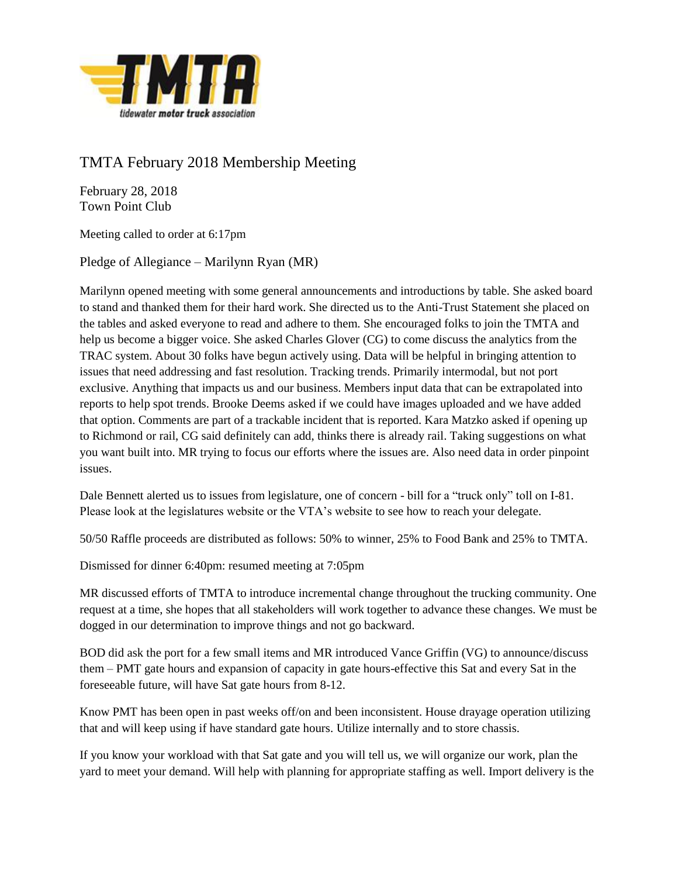

## TMTA February 2018 Membership Meeting

February 28, 2018 Town Point Club

Meeting called to order at 6:17pm

Pledge of Allegiance – Marilynn Ryan (MR)

Marilynn opened meeting with some general announcements and introductions by table. She asked board to stand and thanked them for their hard work. She directed us to the Anti-Trust Statement she placed on the tables and asked everyone to read and adhere to them. She encouraged folks to join the TMTA and help us become a bigger voice. She asked Charles Glover (CG) to come discuss the analytics from the TRAC system. About 30 folks have begun actively using. Data will be helpful in bringing attention to issues that need addressing and fast resolution. Tracking trends. Primarily intermodal, but not port exclusive. Anything that impacts us and our business. Members input data that can be extrapolated into reports to help spot trends. Brooke Deems asked if we could have images uploaded and we have added that option. Comments are part of a trackable incident that is reported. Kara Matzko asked if opening up to Richmond or rail, CG said definitely can add, thinks there is already rail. Taking suggestions on what you want built into. MR trying to focus our efforts where the issues are. Also need data in order pinpoint issues.

Dale Bennett alerted us to issues from legislature, one of concern - bill for a "truck only" toll on I-81. Please look at the legislatures website or the VTA's website to see how to reach your delegate.

50/50 Raffle proceeds are distributed as follows: 50% to winner, 25% to Food Bank and 25% to TMTA.

Dismissed for dinner 6:40pm: resumed meeting at 7:05pm

MR discussed efforts of TMTA to introduce incremental change throughout the trucking community. One request at a time, she hopes that all stakeholders will work together to advance these changes. We must be dogged in our determination to improve things and not go backward.

BOD did ask the port for a few small items and MR introduced Vance Griffin (VG) to announce/discuss them – PMT gate hours and expansion of capacity in gate hours-effective this Sat and every Sat in the foreseeable future, will have Sat gate hours from 8-12.

Know PMT has been open in past weeks off/on and been inconsistent. House drayage operation utilizing that and will keep using if have standard gate hours. Utilize internally and to store chassis.

If you know your workload with that Sat gate and you will tell us, we will organize our work, plan the yard to meet your demand. Will help with planning for appropriate staffing as well. Import delivery is the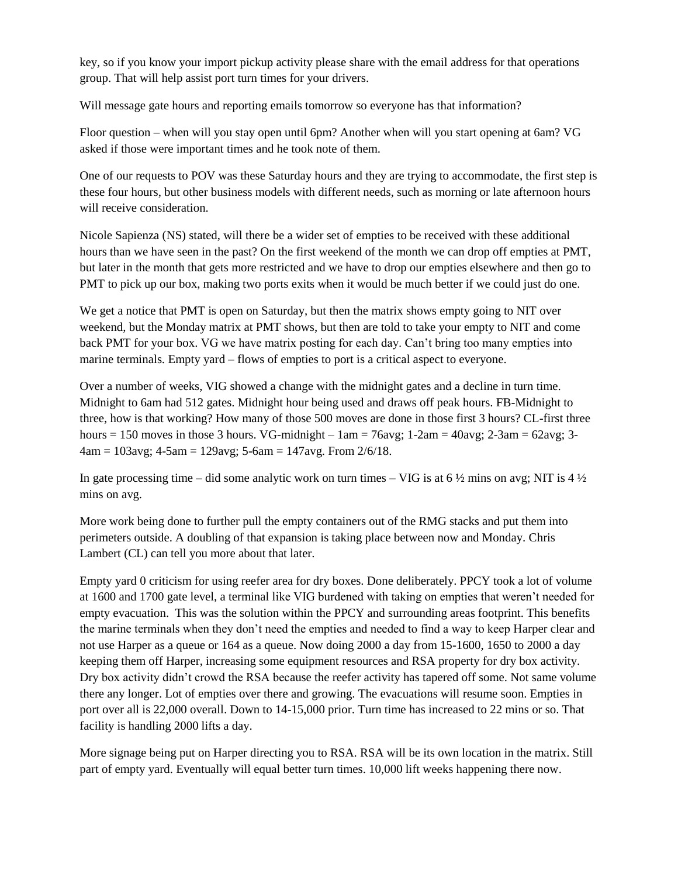key, so if you know your import pickup activity please share with the email address for that operations group. That will help assist port turn times for your drivers.

Will message gate hours and reporting emails tomorrow so everyone has that information?

Floor question – when will you stay open until 6pm? Another when will you start opening at 6am? VG asked if those were important times and he took note of them.

One of our requests to POV was these Saturday hours and they are trying to accommodate, the first step is these four hours, but other business models with different needs, such as morning or late afternoon hours will receive consideration.

Nicole Sapienza (NS) stated, will there be a wider set of empties to be received with these additional hours than we have seen in the past? On the first weekend of the month we can drop off empties at PMT, but later in the month that gets more restricted and we have to drop our empties elsewhere and then go to PMT to pick up our box, making two ports exits when it would be much better if we could just do one.

We get a notice that PMT is open on Saturday, but then the matrix shows empty going to NIT over weekend, but the Monday matrix at PMT shows, but then are told to take your empty to NIT and come back PMT for your box. VG we have matrix posting for each day. Can't bring too many empties into marine terminals. Empty yard – flows of empties to port is a critical aspect to everyone.

Over a number of weeks, VIG showed a change with the midnight gates and a decline in turn time. Midnight to 6am had 512 gates. Midnight hour being used and draws off peak hours. FB-Midnight to three, how is that working? How many of those 500 moves are done in those first 3 hours? CL-first three hours = 150 moves in those 3 hours. VG-midnight  $-$  1am = 76avg; 1-2am = 40avg; 2-3am = 62avg; 3- $4am = 103avg$ ;  $4-5am = 129avg$ ;  $5-6am = 147avg$ . From  $2/6/18$ .

In gate processing time – did some analytic work on turn times – VIG is at 6  $\frac{1}{2}$  mins on avg; NIT is 4  $\frac{1}{2}$ mins on avg.

More work being done to further pull the empty containers out of the RMG stacks and put them into perimeters outside. A doubling of that expansion is taking place between now and Monday. Chris Lambert (CL) can tell you more about that later.

Empty yard 0 criticism for using reefer area for dry boxes. Done deliberately. PPCY took a lot of volume at 1600 and 1700 gate level, a terminal like VIG burdened with taking on empties that weren't needed for empty evacuation. This was the solution within the PPCY and surrounding areas footprint. This benefits the marine terminals when they don't need the empties and needed to find a way to keep Harper clear and not use Harper as a queue or 164 as a queue. Now doing 2000 a day from 15-1600, 1650 to 2000 a day keeping them off Harper, increasing some equipment resources and RSA property for dry box activity. Dry box activity didn't crowd the RSA because the reefer activity has tapered off some. Not same volume there any longer. Lot of empties over there and growing. The evacuations will resume soon. Empties in port over all is 22,000 overall. Down to 14-15,000 prior. Turn time has increased to 22 mins or so. That facility is handling 2000 lifts a day.

More signage being put on Harper directing you to RSA. RSA will be its own location in the matrix. Still part of empty yard. Eventually will equal better turn times. 10,000 lift weeks happening there now.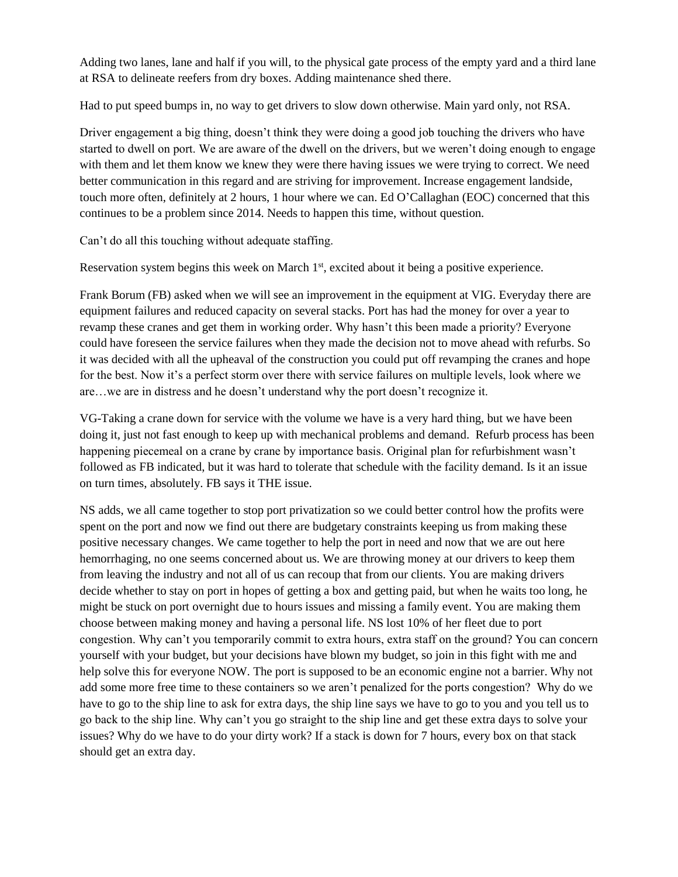Adding two lanes, lane and half if you will, to the physical gate process of the empty yard and a third lane at RSA to delineate reefers from dry boxes. Adding maintenance shed there.

Had to put speed bumps in, no way to get drivers to slow down otherwise. Main yard only, not RSA.

Driver engagement a big thing, doesn't think they were doing a good job touching the drivers who have started to dwell on port. We are aware of the dwell on the drivers, but we weren't doing enough to engage with them and let them know we knew they were there having issues we were trying to correct. We need better communication in this regard and are striving for improvement. Increase engagement landside, touch more often, definitely at 2 hours, 1 hour where we can. Ed O'Callaghan (EOC) concerned that this continues to be a problem since 2014. Needs to happen this time, without question.

Can't do all this touching without adequate staffing.

Reservation system begins this week on March 1<sup>st</sup>, excited about it being a positive experience.

Frank Borum (FB) asked when we will see an improvement in the equipment at VIG. Everyday there are equipment failures and reduced capacity on several stacks. Port has had the money for over a year to revamp these cranes and get them in working order. Why hasn't this been made a priority? Everyone could have foreseen the service failures when they made the decision not to move ahead with refurbs. So it was decided with all the upheaval of the construction you could put off revamping the cranes and hope for the best. Now it's a perfect storm over there with service failures on multiple levels, look where we are…we are in distress and he doesn't understand why the port doesn't recognize it.

VG-Taking a crane down for service with the volume we have is a very hard thing, but we have been doing it, just not fast enough to keep up with mechanical problems and demand. Refurb process has been happening piecemeal on a crane by crane by importance basis. Original plan for refurbishment wasn't followed as FB indicated, but it was hard to tolerate that schedule with the facility demand. Is it an issue on turn times, absolutely. FB says it THE issue.

NS adds, we all came together to stop port privatization so we could better control how the profits were spent on the port and now we find out there are budgetary constraints keeping us from making these positive necessary changes. We came together to help the port in need and now that we are out here hemorrhaging, no one seems concerned about us. We are throwing money at our drivers to keep them from leaving the industry and not all of us can recoup that from our clients. You are making drivers decide whether to stay on port in hopes of getting a box and getting paid, but when he waits too long, he might be stuck on port overnight due to hours issues and missing a family event. You are making them choose between making money and having a personal life. NS lost 10% of her fleet due to port congestion. Why can't you temporarily commit to extra hours, extra staff on the ground? You can concern yourself with your budget, but your decisions have blown my budget, so join in this fight with me and help solve this for everyone NOW. The port is supposed to be an economic engine not a barrier. Why not add some more free time to these containers so we aren't penalized for the ports congestion? Why do we have to go to the ship line to ask for extra days, the ship line says we have to go to you and you tell us to go back to the ship line. Why can't you go straight to the ship line and get these extra days to solve your issues? Why do we have to do your dirty work? If a stack is down for 7 hours, every box on that stack should get an extra day.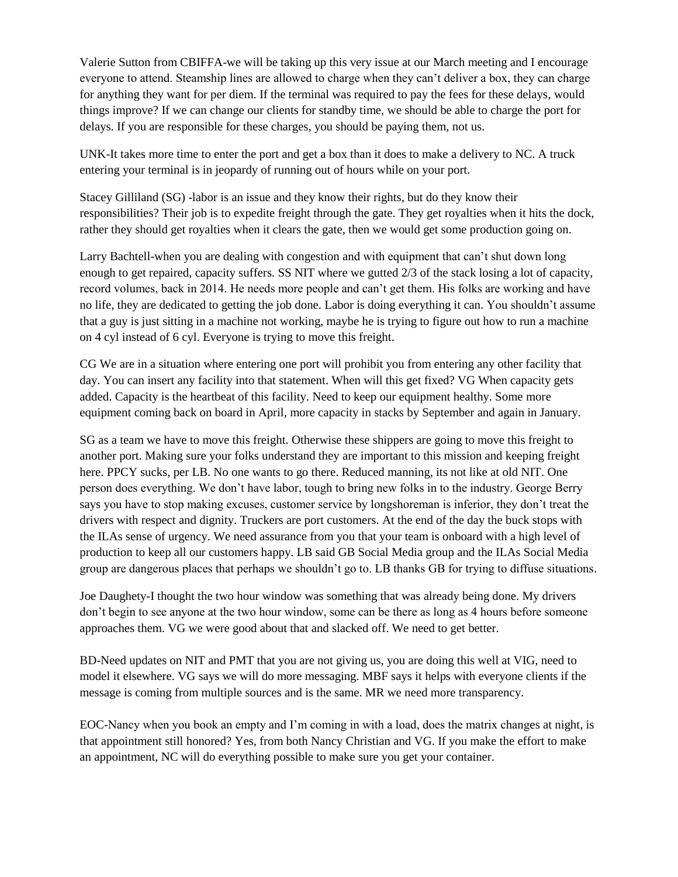Valerie Sutton from CBIFFA-we will be taking up this very issue at our March meeting and I encourage everyone to attend. Steamship lines are allowed to charge when they can't deliver a box, they can charge for anything they want for per diem. If the terminal was required to pay the fees for these delays, would things improve? If we can change our clients for standby time, we should be able to charge the port for delays. If you are responsible for these charges, you should be paying them, not us.

UNK-It takes more time to enter the port and get a box than it does to make a delivery to NC. A truck entering your terminal is in jeopardy of running out of hours while on your port.

Stacey Gilliland (SG) -labor is an issue and they know their rights, but do they know their responsibilities? Their job is to expedite freight through the gate. They get royalties when it hits the dock, rather they should get royalties when it clears the gate, then we would get some production going on.

Larry Bachtell-when you are dealing with congestion and with equipment that can't shut down long enough to get repaired, capacity suffers. SS NIT where we gutted 2/3 of the stack losing a lot of capacity, record volumes, back in 2014. He needs more people and can't get them. His folks are working and have no life, they are dedicated to getting the job done. Labor is doing everything it can. You shouldn't assume that a guy is just sitting in a machine not working, maybe he is trying to figure out how to run a machine on 4 cyl instead of 6 cyl. Everyone is trying to move this freight.

CG We are in a situation where entering one port will prohibit you from entering any other facility that day. You can insert any facility into that statement. When will this get fixed? VG When capacity gets added. Capacity is the heartbeat of this facility. Need to keep our equipment healthy. Some more equipment coming back on board in April, more capacity in stacks by September and again in January.

SG as a team we have to move this freight. Otherwise these shippers are going to move this freight to another port. Making sure your folks understand they are important to this mission and keeping freight here. PPCY sucks, per LB. No one wants to go there. Reduced manning, its not like at old NIT. One person does everything. We don't have labor, tough to bring new folks in to the industry. George Berry says you have to stop making excuses, customer service by longshoreman is inferior, they don't treat the drivers with respect and dignity. Truckers are port customers. At the end of the day the buck stops with the ILAs sense of urgency. We need assurance from you that your team is onboard with a high level of production to keep all our customers happy. LB said GB Social Media group and the ILAs Social Media group are dangerous places that perhaps we shouldn't go to. LB thanks GB for trying to diffuse situations.

Joe Daughety-I thought the two hour window was something that was already being done. My drivers don't begin to see anyone at the two hour window, some can be there as long as 4 hours before someone approaches them. VG we were good about that and slacked off. We need to get better.

BD-Need updates on NIT and PMT that you are not giving us, you are doing this well at VIG, need to model it elsewhere. VG says we will do more messaging. MBF says it helps with everyone clients if the message is coming from multiple sources and is the same. MR we need more transparency.

EOC-Nancy when you book an empty and I'm coming in with a load, does the matrix changes at night, is that appointment still honored? Yes, from both Nancy Christian and VG. If you make the effort to make an appointment, NC will do everything possible to make sure you get your container.